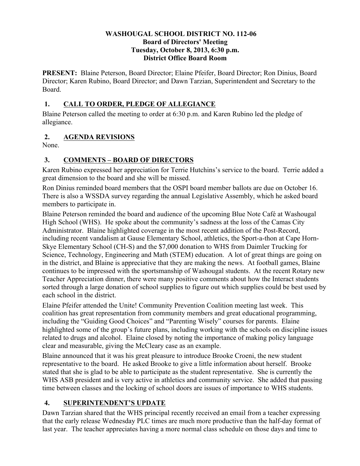#### **WASHOUGAL SCHOOL DISTRICT NO. 112-06 Board of Directors' Meeting Tuesday, October 8, 2013, 6:30 p.m. District Office Board Room**

**PRESENT:** Blaine Peterson, Board Director; Elaine Pfeifer, Board Director; Ron Dinius, Board Director; Karen Rubino, Board Director; and Dawn Tarzian, Superintendent and Secretary to the Board.

### **1. CALL TO ORDER, PLEDGE OF ALLEGIANCE**

Blaine Peterson called the meeting to order at 6:30 p.m. and Karen Rubino led the pledge of allegiance.

## **2. AGENDA REVISIONS**

None.

# **3. COMMENTS – BOARD OF DIRECTORS**

Karen Rubino expressed her appreciation for Terrie Hutchins's service to the board. Terrie added a great dimension to the board and she will be missed.

Ron Dinius reminded board members that the OSPI board member ballots are due on October 16. There is also a WSSDA survey regarding the annual Legislative Assembly, which he asked board members to participate in.

Blaine Peterson reminded the board and audience of the upcoming Blue Note Café at Washougal High School (WHS). He spoke about the community's sadness at the loss of the Camas City Administrator. Blaine highlighted coverage in the most recent addition of the Post-Record, including recent vandalism at Gause Elementary School, athletics, the Sport-a-thon at Cape Horn-Skye Elementary School (CH-S) and the \$7,000 donation to WHS from Daimler Trucking for Science, Technology, Engineering and Math (STEM) education. A lot of great things are going on in the district, and Blaine is appreciative that they are making the news. At football games, Blaine continues to be impressed with the sportsmanship of Washougal students. At the recent Rotary new Teacher Appreciation dinner, there were many positive comments about how the Interact students sorted through a large donation of school supplies to figure out which supplies could be best used by each school in the district.

Elaine Pfeifer attended the Unite! Community Prevention Coalition meeting last week. This coalition has great representation from community members and great educational programming, including the "Guiding Good Choices" and "Parenting Wisely" courses for parents. Elaine highlighted some of the group's future plans, including working with the schools on discipline issues related to drugs and alcohol. Elaine closed by noting the importance of making policy language clear and measurable, giving the McCleary case as an example.

Blaine announced that it was his great pleasure to introduce Brooke Croeni, the new student representative to the board. He asked Brooke to give a little information about herself. Brooke stated that she is glad to be able to participate as the student representative. She is currently the WHS ASB president and is very active in athletics and community service. She added that passing time between classes and the locking of school doors are issues of importance to WHS students.

## **4. SUPERINTENDENT'S UPDATE**

Dawn Tarzian shared that the WHS principal recently received an email from a teacher expressing that the early release Wednesday PLC times are much more productive than the half-day format of last year. The teacher appreciates having a more normal class schedule on those days and time to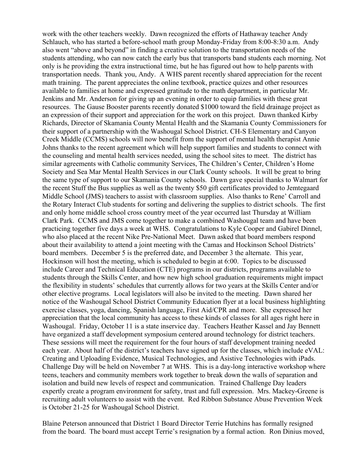work with the other teachers weekly. Dawn recognized the efforts of Hathaway teacher Andy Schlauch, who has started a before-school math group Monday-Friday from 8:00-8:30 a.m. Andy also went "above and beyond" in finding a creative solution to the transportation needs of the students attending, who can now catch the early bus that transports band students each morning. Not only is he providing the extra instructional time, but he has figured out how to help parents with transportation needs. Thank you, Andy. A WHS parent recently shared appreciation for the recent math training. The parent appreciates the online textbook, practice quizes and other resources available to families at home and expressed gratitude to the math department, in particular Mr. Jenkins and Mr. Anderson for giving up an evening in order to equip families with these great resources. The Gause Booster parents recently donated \$1000 toward the field drainage project as an expression of their support and appreciation for the work on this project. Dawn thanked Kirby Richards, Director of Skamania County Mental Health and the Skamania County Commissioners for their support of a partnership with the Washougal School District. CH-S Elementary and Canyon Creek Middle (CCMS) schools will now benefit from the support of mental health therapist Annie Johns thanks to the recent agreement which will help support families and students to connect with the counseling and mental health services needed, using the school sites to meet. The district has similar agreements with Catholic community Services, The Children's Center, Children's Home Society and Sea Mar Mental Health Services in our Clark County schools. It will be great to bring the same type of support to our Skamania County schools. Dawn gave special thanks to Walmart for the recent Stuff the Bus supplies as well as the twenty \$50 gift certificates provided to Jemtegaard Middle School (JMS) teachers to assist with classroom supplies. Also thanks to Rene' Carroll and the Rotary Interact Club students for sorting and delivering the supplies to district schools. The first and only home middle school cross country meet of the year occurred last Thursday at William Clark Park. CCMS and JMS come together to make a combined Washougal team and have been practicing together five days a week at WHS. Congratulations to Kyle Cooper and Gabirel Dinnel, who also placed at the recent Nike Pre-National Meet. Dawn asked that board members respond about their availability to attend a joint meeting with the Camas and Hockinson School Districts' board members. December 5 is the preferred date, and December 3 the alternate. This year, Hockinson will host the meeting, which is scheduled to begin at 6:00. Topics to be discussed include Career and Technical Education (CTE) programs in our districts, programs available to students through the Skills Center, and how new high school graduation requirements might impact the flexibility in students' schedules that currently allows for two years at the Skills Center and/or other elective programs. Local legislators will also be invited to the meeting. Dawn shared her notice of the Washougal School District Community Education flyer at a local business highlighting exercise classes, yoga, dancing, Spanish language, First Aid/CPR and more. She expressed her appreciation that the local community has access to these kinds of classes for all ages right here in Washougal. Friday, October 11 is a state inservice day. Teachers Heather Kassel and Jay Bennett have organized a staff development symposium centered around technology for district teachers. These sessions will meet the requirement for the four hours of staff development training needed each year. About half of the district's teachers have signed up for the classes, which include eVAL: Creating and Uploading Evidence, Musical Technologies, and Asistive Technologies with iPads. Challenge Day will be held on November 7 at WHS. This is a day-long interactive workshop where teens, teachers and community members work together to break down the walls of separation and isolation and build new levels of respect and communication. Trained Challenge Day leaders expertly create a program environment for safety, trust and full expression. Mrs. Mackey-Greene is recruiting adult volunteers to assist with the event. Red Ribbon Substance Abuse Prevention Week is October 21-25 for Washougal School District.

Blaine Peterson announced that District 1 Board Director Terrie Hutchins has formally resigned from the board. The board must accept Terrie's resignation by a formal action. Ron Dinius moved,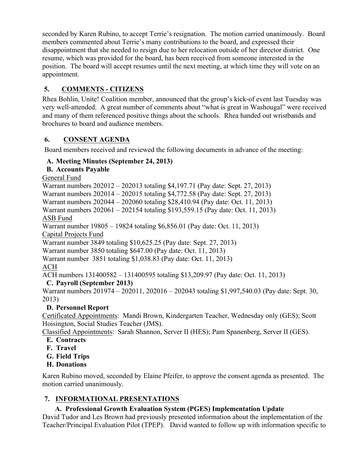seconded by Karen Rubino, to accept Terrie's resignation. The motion carried unanimously. Board members commented about Terrie's many contributions to the board, and expressed their disappointment that she needed to resign due to her relocation outside of her director district. One resume, which was provided for the board, has been received from someone interested in the position. The board will accept resumes until the next meeting, at which time they will vote on an appointment.

# **5. COMMENTS - CITIZENS**

Rhea Bohlin, Unite! Coalition member, announced that the group's kick-of event last Tuesday was very well-attended. A great number of comments about "what is great in Washougal" were received and many of them referenced positive things about the schools. Rhea handed out wristbands and brochures to board and audience members.

### **6. CONSENT AGENDA**

Board members received and reviewed the following documents in advance of the meeting:

## **A. Meeting Minutes (September 24, 2013)**

### **B. Accounts Payable**

General Fund

Warrant numbers 202012 – 202013 totaling \$4,197.71 (Pay date: Sept. 27, 2013) Warrant numbers 202014 – 202015 totaling \$4,772.58 (Pay date: Sept. 27, 2013) Warrant numbers 202044 – 202060 totaling \$28,410.94 (Pay date: Oct. 11, 2013) Warrant numbers 202061 – 202154 totaling \$193,559.15 (Pay date: Oct. 11, 2013) ASB Fund Warrant number 19805 – 19824 totaling \$6,856.01 (Pay date: Oct. 11, 2013) Capital Projects Fund Warrant number 3849 totaling \$10,625.25 (Pay date: Sept. 27, 2013) Warrant number 3850 totaling \$647.00 (Pay date: Oct. 11, 2013) Warrant number 3851 totaling \$1,038.83 (Pay date: Oct. 11, 2013) ACH ACH numbers 131400582 – 131400595 totaling \$13,209.97 (Pay date: Oct. 11, 2013)

## **C. Payroll (September 2013)**

Warrant numbers 201974 – 202011, 202016 – 202043 totaling \$1,997,540.03 (Pay date: Sept. 30, 2013)

## **D. Personnel Report**

Certificated Appointments: Mandi Brown, Kindergarten Teacher, Wednesday only (GES); Scott Hoisington, Social Studies Teacher (JMS).

Classified Appointments: Sarah Shannon, Server II (HES); Pam Spanenberg, Server II (GES).

- **E. Contracts**
- **F. Travel**
- **G. Field Trips**

## **H. Donations**

Karen Rubino moved, seconded by Elaine Pfeifer, to approve the consent agenda as presented. The motion carried unanimously.

## **7. INFORMATIONAL PRESENTATIONS**

## **A. Professional Growth Evaluation System (PGES) Implementation Update**

David Tudor and Les Brown had previously presented information about the implementation of the Teacher/Principal Evaluation Pilot (TPEP). David wanted to follow up with information specific to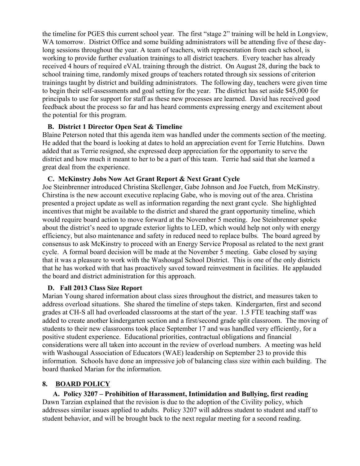the timeline for PGES this current school year. The first "stage 2" training will be held in Longview, WA tomorrow. District Office and some building administrators will be attending five of these daylong sessions throughout the year. A team of teachers, with representation from each school, is working to provide further evaluation trainings to all district teachers. Every teacher has already received 4 hours of required eVAL training through the district. On August 28, during the back to school training time, randomly mixed groups of teachers rotated through six sessions of criterion trainings taught by district and building administrators. The following day, teachers were given time to begin their self-assessments and goal setting for the year. The district has set aside \$45,000 for principals to use for support for staff as these new processes are learned. David has received good feedback about the process so far and has heard comments expressing energy and excitement about the potential for this program.

#### **B. District 1 Director Open Seat & Timeline**

Blaine Peterson noted that this agenda item was handled under the comments section of the meeting. He added that the board is looking at dates to hold an appreciation event for Terrie Hutchins. Dawn added that as Terrie resigned, she expressed deep appreciation for the opportunity to serve the district and how much it meant to her to be a part of this team. Terrie had said that she learned a great deal from the experience.

#### **C. McKinstry Jobs Now Act Grant Report & Next Grant Cycle**

Joe Steinbrenner introduced Christina Skellenger, Gabe Johnson and Joe Fuetch, from McKinstry. Chirstina is the new account executive replacing Gabe, who is moving out of the area. Christina presented a project update as well as information regarding the next grant cycle. She highlighted incentives that might be available to the district and shared the grant opportunity timeline, which would require board action to move forward at the November 5 meeting. Joe Steinbrenner spoke about the district's need to upgrade exterior lights to LED, which would help not only with energy efficiency, but also maintenance and safety in reduced need to replace bulbs. The board agreed by consensus to ask McKinstry to proceed with an Energy Service Proposal as related to the next grant cycle. A formal board decision will be made at the November 5 meeting. Gabe closed by saying that it was a pleasure to work with the Washougal School District. This is one of the only districts that he has worked with that has proactively saved toward reinvestment in facilities. He applauded the board and district administration for this approach.

#### **D. Fall 2013 Class Size Report**

Marian Young shared information about class sizes throughout the district, and measures taken to address overload situations. She shared the timeline of steps taken. Kindergarten, first and second grades at CH-S all had overloaded classrooms at the start of the year. 1.5 FTE teaching staff was added to create another kindergarten section and a first/second grade split classroom. The moving of students to their new classrooms took place September 17 and was handled very efficiently, for a positive student experience. Educational priorities, contractual obligations and financial considerations were all taken into account in the review of overload numbers. A meeting was held with Washougal Association of Educators (WAE) leadership on September 23 to provide this information. Schools have done an impressive job of balancing class size within each building. The board thanked Marian for the information.

### **8. BOARD POLICY**

**A. Policy 3207 – Prohibition of Harassment, Intimidation and Bullying, first reading** Dawn Tarzian explained that the revision is due to the adoption of the Civility policy, which addresses similar issues applied to adults. Policy 3207 will address student to student and staff to student behavior, and will be brought back to the next regular meeting for a second reading.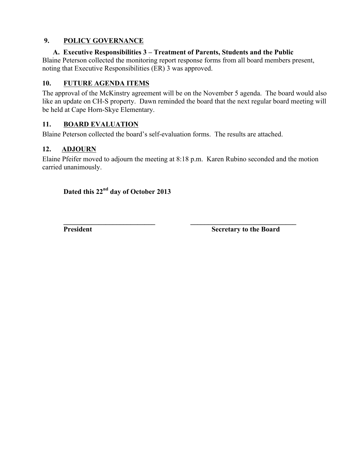### **9. POLICY GOVERNANCE**

#### **A. Executive Responsibilities 3 – Treatment of Parents, Students and the Public**

Blaine Peterson collected the monitoring report response forms from all board members present, noting that Executive Responsibilities (ER) 3 was approved.

### **10. FUTURE AGENDA ITEMS**

The approval of the McKinstry agreement will be on the November 5 agenda. The board would also like an update on CH-S property. Dawn reminded the board that the next regular board meeting will be held at Cape Horn-Skye Elementary.

### **11. BOARD EVALUATION**

Blaine Peterson collected the board's self-evaluation forms. The results are attached.

### **12. ADJOURN**

Elaine Pfeifer moved to adjourn the meeting at 8:18 p.m. Karen Rubino seconded and the motion carried unanimously.

**\_\_\_\_\_\_\_\_\_\_\_\_\_\_\_\_\_\_\_\_\_\_\_\_\_\_ \_\_\_\_\_\_\_\_\_\_\_\_\_\_\_\_\_\_\_\_\_\_\_\_\_\_\_\_\_\_**

## **Dated this 22nd day of October 2013**

**President Secretary to the Board**